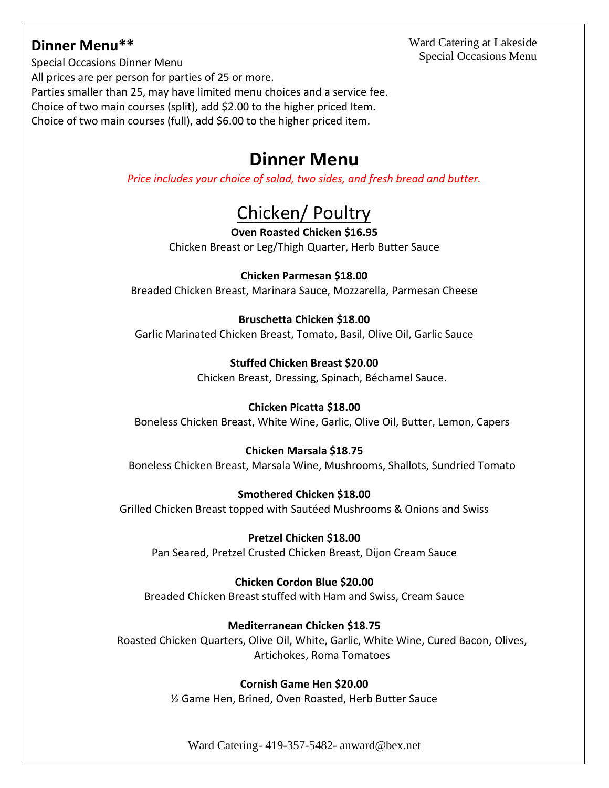### **Dinner Menu\*\***

Ward Catering at Lakeside Special Occasions Menu

All prices are per person for parties of 25 or more. Parties smaller than 25, may have limited menu choices and a service fee. Special Occasions Dinner Menu Choice of two main courses (split), add \$2.00 to the higher priced Item. Choice of two main courses (full), add \$6.00 to the higher priced item.

# **Dinner Menu**

*Price includes your choice of salad, two sides, and fresh bread and butter.*

# Chicken/ Poultry

### **Oven Roasted Chicken \$16.95**

Chicken Breast or Leg/Thigh Quarter, Herb Butter Sauce

### **Chicken Parmesan \$18.00**

Breaded Chicken Breast, Marinara Sauce, Mozzarella, Parmesan Cheese

### **Bruschetta Chicken \$18.00**

Garlic Marinated Chicken Breast, Tomato, Basil, Olive Oil, Garlic Sauce

### **Stuffed Chicken Breast \$20.00**

Chicken Breast, Dressing, Spinach, Béchamel Sauce.

### **Chicken Picatta \$18.00**

Boneless Chicken Breast, White Wine, Garlic, Olive Oil, Butter, Lemon, Capers

### **Chicken Marsala \$18.75**

Boneless Chicken Breast, Marsala Wine, Mushrooms, Shallots, Sundried Tomato

### **Smothered Chicken \$18.00**

Grilled Chicken Breast topped with Sautéed Mushrooms & Onions and Swiss

**Pretzel Chicken \$18.00** Pan Seared, Pretzel Crusted Chicken Breast, Dijon Cream Sauce

**Chicken Cordon Blue \$20.00** Breaded Chicken Breast stuffed with Ham and Swiss, Cream Sauce

### **Mediterranean Chicken \$18.75**

Roasted Chicken Quarters, Olive Oil, White, Garlic, White Wine, Cured Bacon, Olives, Artichokes, Roma Tomatoes

### **Cornish Game Hen \$20.00**

½ Game Hen, Brined, Oven Roasted, Herb Butter Sauce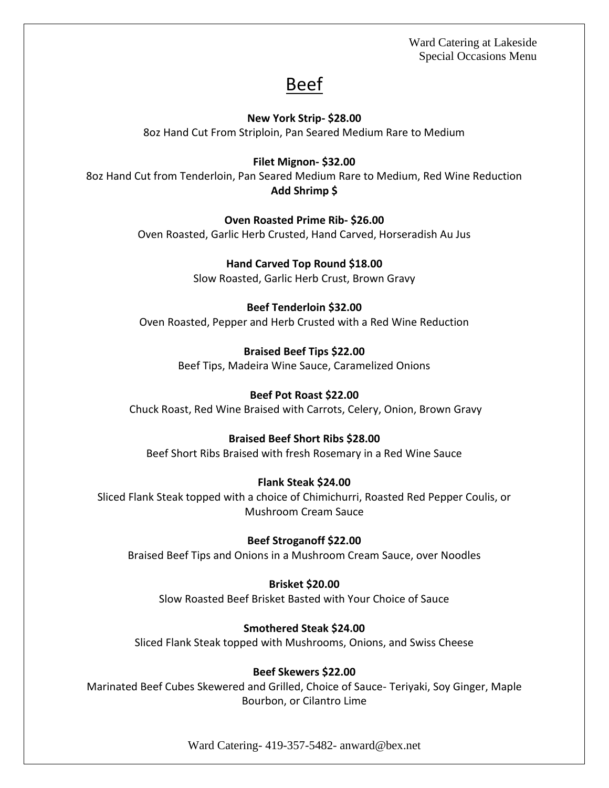# Beef

### **New York Strip- \$28.00**

8oz Hand Cut From Striploin, Pan Seared Medium Rare to Medium

### **Filet Mignon- \$32.00**

8oz Hand Cut from Tenderloin, Pan Seared Medium Rare to Medium, Red Wine Reduction **Add Shrimp \$**

### **Oven Roasted Prime Rib- \$26.00**

Oven Roasted, Garlic Herb Crusted, Hand Carved, Horseradish Au Jus

### **Hand Carved Top Round \$18.00** Slow Roasted, Garlic Herb Crust, Brown Gravy

### **Beef Tenderloin \$32.00**

Oven Roasted, Pepper and Herb Crusted with a Red Wine Reduction

**Braised Beef Tips \$22.00** Beef Tips, Madeira Wine Sauce, Caramelized Onions

**Beef Pot Roast \$22.00** Chuck Roast, Red Wine Braised with Carrots, Celery, Onion, Brown Gravy

### **Braised Beef Short Ribs \$28.00**

Beef Short Ribs Braised with fresh Rosemary in a Red Wine Sauce

### **Flank Steak \$24.00**

Sliced Flank Steak topped with a choice of Chimichurri, Roasted Red Pepper Coulis, or Mushroom Cream Sauce

**Beef Stroganoff \$22.00** Braised Beef Tips and Onions in a Mushroom Cream Sauce, over Noodles

**Brisket \$20.00** Slow Roasted Beef Brisket Basted with Your Choice of Sauce

### **Smothered Steak \$24.00**

Sliced Flank Steak topped with Mushrooms, Onions, and Swiss Cheese

### **Beef Skewers \$22.00**

Marinated Beef Cubes Skewered and Grilled, Choice of Sauce- Teriyaki, Soy Ginger, Maple Bourbon, or Cilantro Lime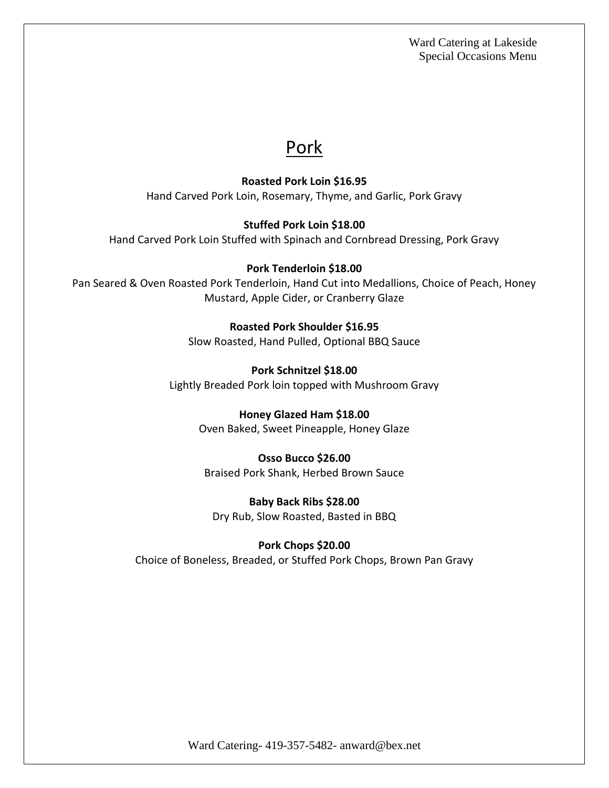## Pork

**Roasted Pork Loin \$16.95** Hand Carved Pork Loin, Rosemary, Thyme, and Garlic, Pork Gravy

### **Stuffed Pork Loin \$18.00**

Hand Carved Pork Loin Stuffed with Spinach and Cornbread Dressing, Pork Gravy

### **Pork Tenderloin \$18.00**

Pan Seared & Oven Roasted Pork Tenderloin, Hand Cut into Medallions, Choice of Peach, Honey Mustard, Apple Cider, or Cranberry Glaze

### **Roasted Pork Shoulder \$16.95**

Slow Roasted, Hand Pulled, Optional BBQ Sauce

**Pork Schnitzel \$18.00** Lightly Breaded Pork loin topped with Mushroom Gravy

> **Honey Glazed Ham \$18.00** Oven Baked, Sweet Pineapple, Honey Glaze

**Osso Bucco \$26.00** Braised Pork Shank, Herbed Brown Sauce

**Baby Back Ribs \$28.00** Dry Rub, Slow Roasted, Basted in BBQ

### **Pork Chops \$20.00**

Choice of Boneless, Breaded, or Stuffed Pork Chops, Brown Pan Gravy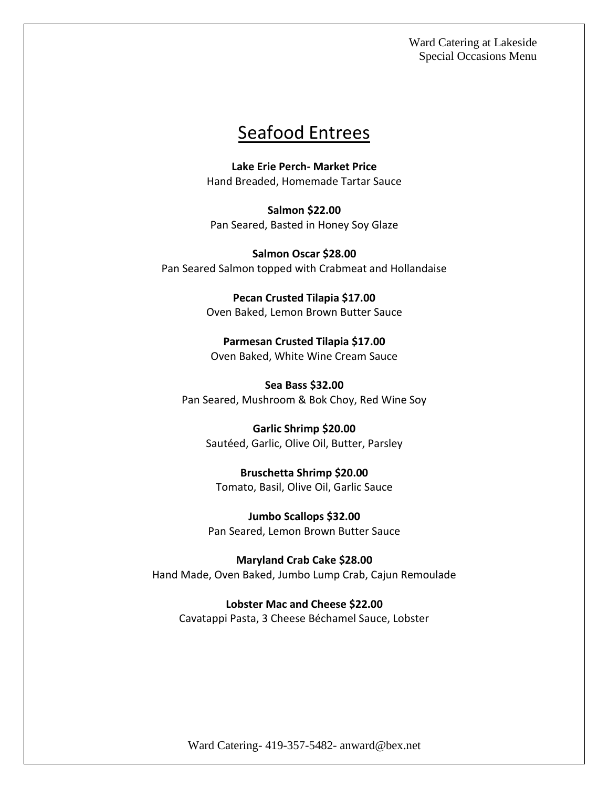# Seafood Entrees

**Lake Erie Perch- Market Price** Hand Breaded, Homemade Tartar Sauce

**Salmon \$22.00** Pan Seared, Basted in Honey Soy Glaze

**Salmon Oscar \$28.00** Pan Seared Salmon topped with Crabmeat and Hollandaise

> **Pecan Crusted Tilapia \$17.00** Oven Baked, Lemon Brown Butter Sauce

**Parmesan Crusted Tilapia \$17.00** Oven Baked, White Wine Cream Sauce

**Sea Bass \$32.00** Pan Seared, Mushroom & Bok Choy, Red Wine Soy

**Garlic Shrimp \$20.00** Sautéed, Garlic, Olive Oil, Butter, Parsley

**Bruschetta Shrimp \$20.00** Tomato, Basil, Olive Oil, Garlic Sauce

**Jumbo Scallops \$32.00** Pan Seared, Lemon Brown Butter Sauce

**Maryland Crab Cake \$28.00** Hand Made, Oven Baked, Jumbo Lump Crab, Cajun Remoulade

**Lobster Mac and Cheese \$22.00** Cavatappi Pasta, 3 Cheese Béchamel Sauce, Lobster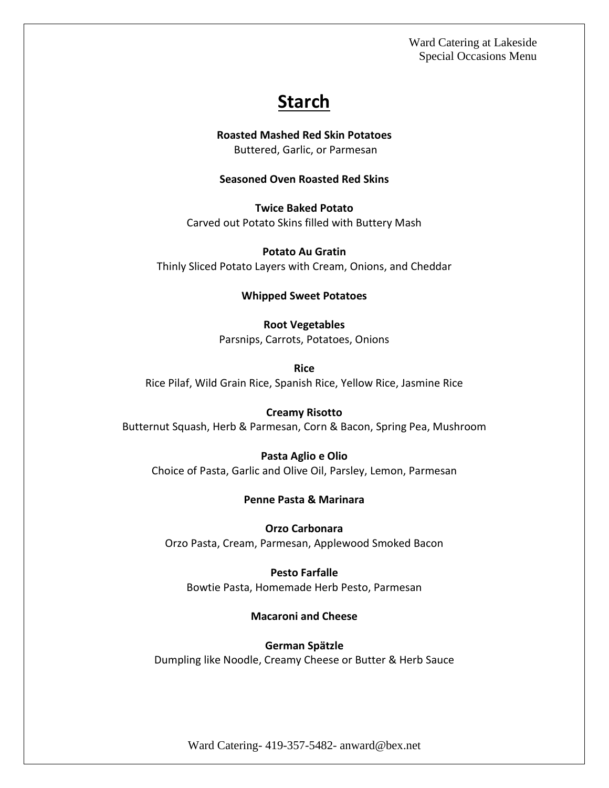# **Starch**

**Roasted Mashed Red Skin Potatoes** Buttered, Garlic, or Parmesan

#### **Seasoned Oven Roasted Red Skins**

**Twice Baked Potato** Carved out Potato Skins filled with Buttery Mash

**Potato Au Gratin** Thinly Sliced Potato Layers with Cream, Onions, and Cheddar

#### **Whipped Sweet Potatoes**

**Root Vegetables** Parsnips, Carrots, Potatoes, Onions

**Rice** Rice Pilaf, Wild Grain Rice, Spanish Rice, Yellow Rice, Jasmine Rice

**Creamy Risotto** Butternut Squash, Herb & Parmesan, Corn & Bacon, Spring Pea, Mushroom

**Pasta Aglio e Olio** Choice of Pasta, Garlic and Olive Oil, Parsley, Lemon, Parmesan

#### **Penne Pasta & Marinara**

**Orzo Carbonara** Orzo Pasta, Cream, Parmesan, Applewood Smoked Bacon

**Pesto Farfalle** Bowtie Pasta, Homemade Herb Pesto, Parmesan

**Macaroni and Cheese**

**German Spätzle** Dumpling like Noodle, Creamy Cheese or Butter & Herb Sauce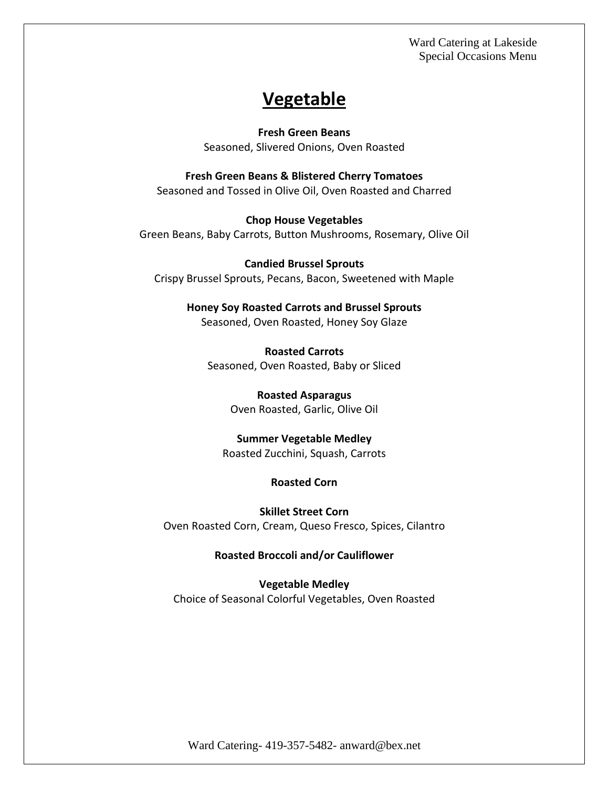### **Vegetable**

**Fresh Green Beans** Seasoned, Slivered Onions, Oven Roasted

**Fresh Green Beans & Blistered Cherry Tomatoes** Seasoned and Tossed in Olive Oil, Oven Roasted and Charred

**Chop House Vegetables** Green Beans, Baby Carrots, Button Mushrooms, Rosemary, Olive Oil

**Candied Brussel Sprouts** Crispy Brussel Sprouts, Pecans, Bacon, Sweetened with Maple

> **Honey Soy Roasted Carrots and Brussel Sprouts** Seasoned, Oven Roasted, Honey Soy Glaze

**Roasted Carrots** Seasoned, Oven Roasted, Baby or Sliced

> **Roasted Asparagus** Oven Roasted, Garlic, Olive Oil

### **Summer Vegetable Medley**

Roasted Zucchini, Squash, Carrots

### **Roasted Corn**

**Skillet Street Corn** Oven Roasted Corn, Cream, Queso Fresco, Spices, Cilantro

**Roasted Broccoli and/or Cauliflower**

**Vegetable Medley** Choice of Seasonal Colorful Vegetables, Oven Roasted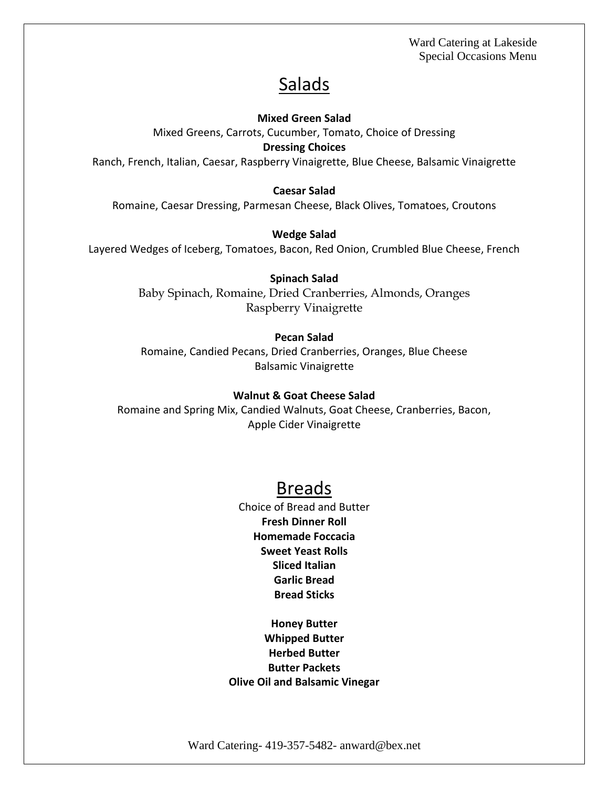# Salads

#### **Mixed Green Salad**

Mixed Greens, Carrots, Cucumber, Tomato, Choice of Dressing **Dressing Choices**

Ranch, French, Italian, Caesar, Raspberry Vinaigrette, Blue Cheese, Balsamic Vinaigrette

### **Caesar Salad**

Romaine, Caesar Dressing, Parmesan Cheese, Black Olives, Tomatoes, Croutons

**Wedge Salad** Layered Wedges of Iceberg, Tomatoes, Bacon, Red Onion, Crumbled Blue Cheese, French

> **Spinach Salad** Baby Spinach, Romaine, Dried Cranberries, Almonds, Oranges Raspberry Vinaigrette

### **Pecan Salad**

Romaine, Candied Pecans, Dried Cranberries, Oranges, Blue Cheese Balsamic Vinaigrette

#### **Walnut & Goat Cheese Salad**

Romaine and Spring Mix, Candied Walnuts, Goat Cheese, Cranberries, Bacon, Apple Cider Vinaigrette

### Breads

Choice of Bread and Butter **Fresh Dinner Roll Homemade Foccacia Sweet Yeast Rolls Sliced Italian Garlic Bread Bread Sticks**

### **Honey Butter Whipped Butter Herbed Butter Butter Packets Olive Oil and Balsamic Vinegar**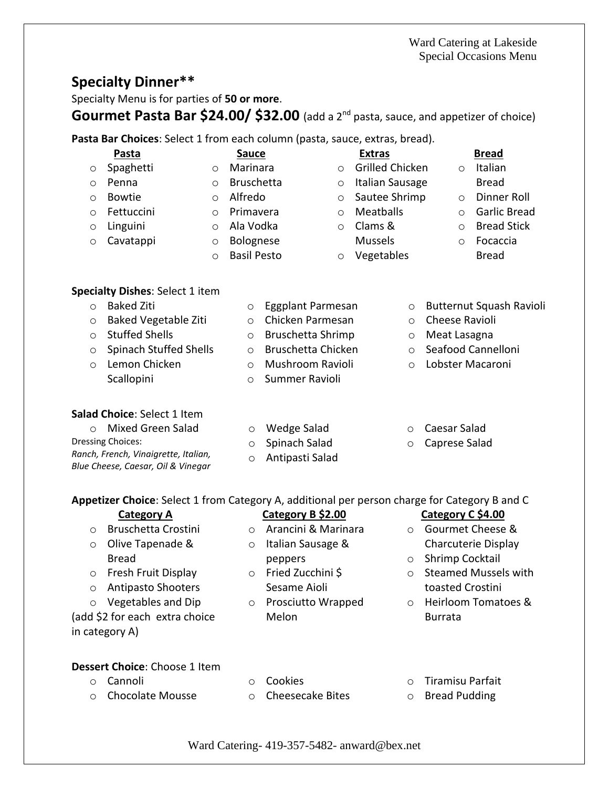### **Specialty Dinner\*\***

Specialty Menu is for parties of **50 or more**.

**Gourmet Pasta Bar \$24.00/ \$32.00** (add a 2<sup>nd</sup> pasta, sauce, and appetizer of choice)

**Pasta Bar Choices**: Select 1 from each column (pasta, sauce, extras, bread).

| <b>Pasta</b>                                                               |                                 |         | <b>Sauce</b>                 |                    | <b>Extras</b> |                 |                  | <b>Bread</b>             |  |
|----------------------------------------------------------------------------|---------------------------------|---------|------------------------------|--------------------|---------------|-----------------|------------------|--------------------------|--|
| $\circ$                                                                    | Spaghetti                       | $\circ$ | Marinara                     |                    | $\circ$       | Grilled Chicken |                  | Italian                  |  |
| $\circ$                                                                    | Penna                           | $\circ$ | <b>Bruschetta</b>            |                    | $\circ$       | Italian Sausage |                  | <b>Bread</b>             |  |
| $\circ$                                                                    | <b>Bowtie</b>                   | $\circ$ | Alfredo                      |                    | $\circ$       | Sautee Shrimp   |                  | Dinner Roll              |  |
| $\circ$                                                                    | Fettuccini                      | $\circ$ | Primavera                    |                    | $\circ$       | Meatballs       | $\circ$          | Garlic Bread             |  |
| $\circ$                                                                    | Linguini                        | $\circ$ | Ala Vodka                    |                    | $\circ$       | Clams &         | $\circ$          | <b>Bread Stick</b>       |  |
| $\circ$                                                                    | Cavatappi                       | $\circ$ | Bolognese                    |                    |               | <b>Mussels</b>  | $\circ$          | Focaccia                 |  |
|                                                                            |                                 | $\circ$ | <b>Basil Pesto</b>           |                    | $\circ$       | Vegetables      |                  | <b>Bread</b>             |  |
|                                                                            |                                 |         |                              |                    |               |                 |                  |                          |  |
|                                                                            | Specialty Dishes: Select 1 item |         |                              |                    |               |                 |                  |                          |  |
| $\Omega$                                                                   | <b>Baked Ziti</b>               |         | $\circ$                      | Eggplant Parmesan  |               | $\circ$         |                  | Butternut Squash Ravioli |  |
| $\circ$                                                                    | <b>Baked Vegetable Ziti</b>     |         | Chicken Parmesan<br>$\circ$  |                    | $\circ$       | Cheese Ravioli  |                  |                          |  |
| $\circ$                                                                    | <b>Stuffed Shells</b>           |         | Bruschetta Shrimp<br>$\circ$ |                    |               | $\circ$         | Meat Lasagna     |                          |  |
| $\circ$                                                                    | <b>Spinach Stuffed Shells</b>   | $\circ$ |                              | Bruschetta Chicken |               | $\circ$         |                  | Seafood Cannelloni       |  |
| $\bigcirc$                                                                 | Lemon Chicken                   |         | $\circ$                      | Mushroom Ravioli   |               | $\circ$         | Lobster Macaroni |                          |  |
|                                                                            | Scallopini                      |         | $\circ$                      | Summer Ravioli     |               |                 |                  |                          |  |
|                                                                            | Salad Choice: Select 1 Item     |         |                              |                    |               |                 |                  |                          |  |
| $\Omega$                                                                   | Mixed Green Salad               |         | Wedge Salad<br>$\circ$       |                    |               | $\circ$         | Caesar Salad     |                          |  |
| <b>Dressing Choices:</b>                                                   |                                 |         | Spinach Salad<br>$\circ$     |                    |               | $\circ$         | Caprese Salad    |                          |  |
| Ranch, French, Vinaigrette, Italian,<br>Blue Cheese, Caesar, Oil & Vinegar |                                 |         | $\circ$                      | Antipasti Salad    |               |                 |                  |                          |  |
|                                                                            |                                 |         |                              |                    |               |                 |                  |                          |  |

### **Appetizer Choice**: Select 1 from Category A, additional per person charge for Category B and C

| <b>Category A</b>                     |            | Category B \$2.00         |            | Category C \$4.00           |
|---------------------------------------|------------|---------------------------|------------|-----------------------------|
| <b>Bruschetta Crostini</b><br>$\circ$ | $\bigcirc$ | Arancini & Marinara       | $\bigcirc$ | Gourmet Cheese &            |
| Olive Tapenade &<br>$\circ$           | $\circ$    | Italian Sausage &         |            | Charcuterie Display         |
| <b>Bread</b>                          |            | peppers                   | $\circ$    | Shrimp Cocktail             |
| Fresh Fruit Display<br>$\circ$        | $\circ$    | Fried Zucchini \$         | $\circ$    | <b>Steamed Mussels with</b> |
| <b>Antipasto Shooters</b><br>O        |            | Sesame Aioli              |            | toasted Crostini            |
| Vegetables and Dip<br>$\circ$         | $\circ$    | <b>Prosciutto Wrapped</b> | $\circ$    | Heirloom Tomatoes &         |
| (add \$2 for each extra choice        |            | Melon                     |            | <b>Burrata</b>              |
| in category A)                        |            |                           |            |                             |
| <b>Dessert Choice:</b> Choose 1 Item  |            |                           |            |                             |
| Cannoli<br>$\cap$                     | ∩          | Cookies                   | ∩          | Tiramisu Parfait            |

Cannoli

- o Cookies
- o Chocolate Mousse
- o Tiramisu Parfait
- o Cheesecake Bites o Bread Pudding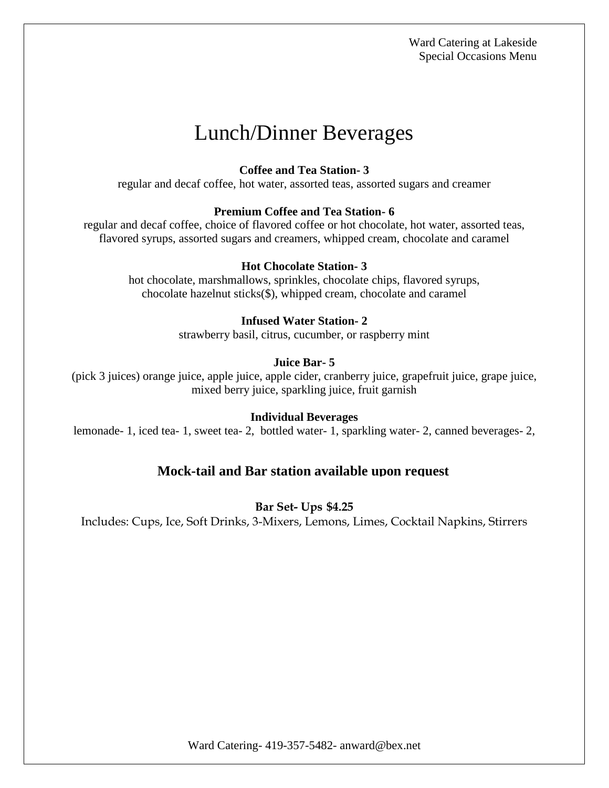# Lunch/Dinner Beverages

### **Coffee and Tea Station- 3**

regular and decaf coffee, hot water, assorted teas, assorted sugars and creamer

### **Premium Coffee and Tea Station- 6**

regular and decaf coffee, choice of flavored coffee or hot chocolate, hot water, assorted teas, flavored syrups, assorted sugars and creamers, whipped cream, chocolate and caramel

### **Hot Chocolate Station- 3**

hot chocolate, marshmallows, sprinkles, chocolate chips, flavored syrups, chocolate hazelnut sticks(\$), whipped cream, chocolate and caramel

### **Infused Water Station- 2**

strawberry basil, citrus, cucumber, or raspberry mint

### **Juice Bar- 5**

(pick 3 juices) orange juice, apple juice, apple cider, cranberry juice, grapefruit juice, grape juice, mixed berry juice, sparkling juice, fruit garnish

### **Individual Beverages**

lemonade- 1, iced tea- 1, sweet tea- 2, bottled water- 1, sparkling water- 2, canned beverages- 2,

### **Mock-tail and Bar station available upon request**

**Bar Set- Ups \$4.25**

Includes: Cups, Ice, Soft Drinks, 3-Mixers, Lemons, Limes, Cocktail Napkins, Stirrers